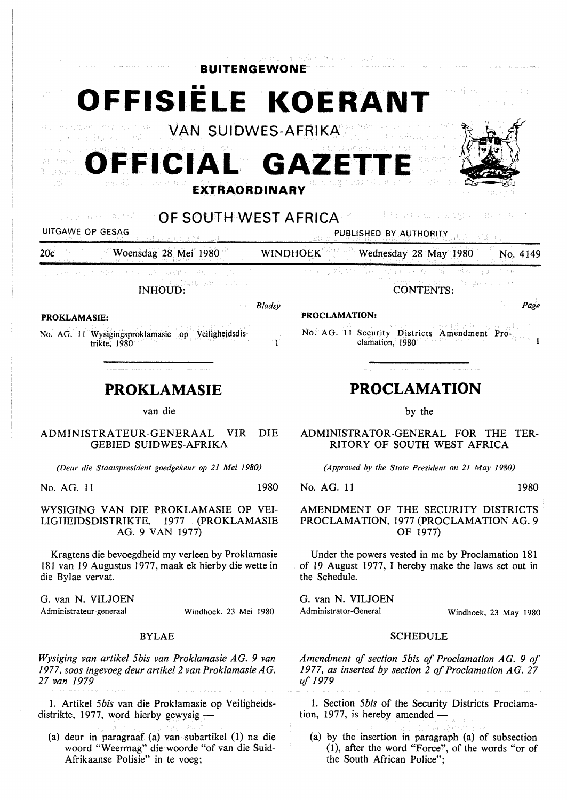

ADMINISTRATEUR-GENERAAL VIR DIE GEBIED SUIDWES-AFRIKA

*(Deur die Staatspresident goedgekeur op 21 Mei 1980)* 

No. AG. 11 1980

WYSIGING VAN DIE PROKLAMASIE OP VEI-LIGHEIDSDISTRIKTE, 1977 . (PROKLAMASIE AG. 9 VAN 1977)

Kragtens die bevoegdheid my verleen by Proklamasie 181 van 19 Augustus 1977, maak ek hierby die wette in die Bylae vervat.

G. van N. VILJOEN Administrateur-generaal

Windhoek, 23 Mei 1980

### BYLAE

*Wysiging van artikel 5bis van Proklamasie AG. 9 van 1977, soos ingevoeg deur artikel 2 van Proklamasie AG. 27 van 1979* 

I. Artikel *5bis* van die Proklamasie op Veiligheidsdistrikte, 1977, word hierby gewysig  $-$ 

(a) deur in paragraaf (a) van subartikel (1) na die woord "Weermag" die woorde "of van die Suid-Afrikaanse Polisie" in te voeg;

*(Approved by the State President on 21 May 1980)* 

RITORY OF SOUTH WEST AFRICA

No. AG. 11 1980

AMENDMENT OF THE SECURITY DISTRICTS PROCLAMATION, 1977 (PROCLAMATION AG. 9 OF 1977)

Under the powers vested in me by Proclamation 181 of 19 August 1977, I hereby make the laws set out in the Schedule.

G. van N. VILJOEN Administrator-General

Windhoek, 23 May 1980

### **SCHEDULE**

*Amendment of section 5bis of Proclamation AG. 9 of 1977, as inserted by section 2 of Proclamation AG. 27 of 1979* 

1. Section *5bis* of the Security Districts Proclamation, 1977, is hereby amended  $-$ 

(a) by the insertion in paragraph (a) of subsection (1), after the word "Force", of the words "or of the South African Police";